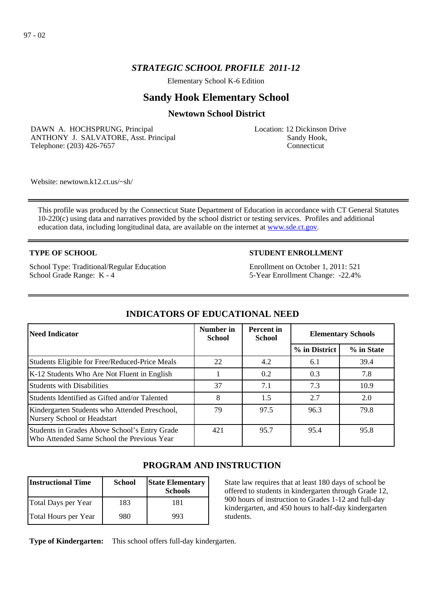## *STRATEGIC SCHOOL PROFILE 2011-12*

Elementary School K-6 Edition

# **Sandy Hook Elementary School**

## **Newtown School District**

DAWN A. HOCHSPRUNG, Principal ANTHONY J. SALVATORE, Asst. Principal Telephone: (203) 426-7657

Location: 12 Dickinson Drive Sandy Hook, **Connecticut** 

Website: newtown.k12.ct.us/~sh/

This profile was produced by the Connecticut State Department of Education in accordance with CT General Statutes 10-220(c) using data and narratives provided by the school district or testing services. Profiles and additional education data, including longitudinal data, are available on the internet at [www.sde.ct.gov](http://www.sde.ct.gov/).

#### **TYPE OF SCHOOL**

School Type: Traditional/Regular Education School Grade Range: K - 4

## **STUDENT ENROLLMENT**

Enrollment on October 1, 2011: 521 5-Year Enrollment Change: -22.4%

| Need Indicator                                                                              | Number in<br><b>School</b> | <b>Percent</b> in<br><b>School</b> | <b>Elementary Schools</b> |            |
|---------------------------------------------------------------------------------------------|----------------------------|------------------------------------|---------------------------|------------|
|                                                                                             |                            |                                    | % in District             | % in State |
| Students Eligible for Free/Reduced-Price Meals                                              | 22                         | 4.2                                | 6.1                       | 39.4       |
| K-12 Students Who Are Not Fluent in English                                                 |                            | 0.2                                | 0.3                       | 7.8        |
| <b>Students with Disabilities</b>                                                           | 37                         | 7.1                                | 7.3                       | 10.9       |
| Students Identified as Gifted and/or Talented                                               | 8                          | 1.5                                | 2.7                       | 2.0        |
| Kindergarten Students who Attended Preschool,<br>Nursery School or Headstart                | 79                         | 97.5                               | 96.3                      | 79.8       |
| Students in Grades Above School's Entry Grade<br>Who Attended Same School the Previous Year | 421                        | 95.7                               | 95.4                      | 95.8       |

# **INDICATORS OF EDUCATIONAL NEED**

# **PROGRAM AND INSTRUCTION**

| <b>Instructional Time</b> | <b>School</b> | <b>State Elementary</b><br><b>Schools</b> |
|---------------------------|---------------|-------------------------------------------|
| Total Days per Year       | 183           | 181                                       |
| Total Hours per Year      | 980           | 993                                       |

State law requires that at least 180 days of school be offered to students in kindergarten through Grade 12, 900 hours of instruction to Grades 1-12 and full-day kindergarten, and 450 hours to half-day kindergarten students.

**Type of Kindergarten:**  This school offers full-day kindergarten.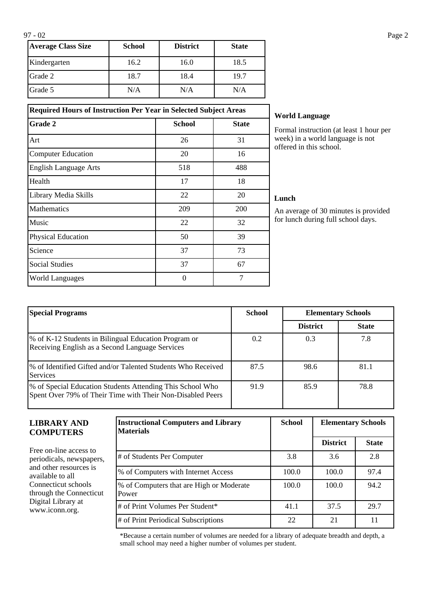| <b>Average Class Size</b> | <b>School</b> | <b>District</b> | <b>State</b> |
|---------------------------|---------------|-----------------|--------------|
| Kindergarten              | 16.2          | 16.0            | 18.5         |
| Grade 2                   | 18.7          | 18.4            | 19.7         |
| Grade 5                   | N/A           | N/A             | N/A          |

**Required Hours of Instruction Per Year in Selected Subject Areas Grade 2 School School State** 

Art 26 31 Computer Education 20 16 English Language Arts 518 518 488 Health  $17$  18 Library Media Skills 22 20 Mathematics 209 200 Music  $22$  32 Physical Education 50 50 39 Science 73 Social Studies 27 67 World Languages and the U and the U and the U and the U and the U and the U and the U and the U and T and T and T and T and T and T and T and T and T and T and T and T and T and T and T and T and T and T and T and T and T

## **World Language**

Formal instruction (at least 1 hour per week) in a world language is not offered in this school.

#### **Lunch**

An average of 30 minutes is provided for lunch during full school days.

| <b>Special Programs</b>                                                                                                 | <b>School</b> | <b>Elementary Schools</b> |              |
|-------------------------------------------------------------------------------------------------------------------------|---------------|---------------------------|--------------|
|                                                                                                                         |               | <b>District</b>           | <b>State</b> |
| % of K-12 Students in Bilingual Education Program or<br>Receiving English as a Second Language Services                 | 0.2           | 0.3                       | 7.8          |
| % of Identified Gifted and/or Talented Students Who Received<br><b>Services</b>                                         | 87.5          | 98.6                      | 81.1         |
| % of Special Education Students Attending This School Who<br>Spent Over 79% of Their Time with Their Non-Disabled Peers | 91.9          | 85.9                      | 78.8         |

#### **LIBRARY AND COMPUTERS**

Free on-line access to periodicals, newspapers, and other resources is available to all Connecticut schools through the Connecticut Digital Library at www.iconn.org.

| <b>Instructional Computers and Library</b><br><b>Materials</b> | <b>School</b> | <b>Elementary Schools</b> |              |
|----------------------------------------------------------------|---------------|---------------------------|--------------|
|                                                                |               | <b>District</b>           | <b>State</b> |
| # of Students Per Computer                                     | 3.8           | 3.6                       | 2.8          |
| % of Computers with Internet Access                            | 100.0         | 100.0                     | 97.4         |
| % of Computers that are High or Moderate<br>Power              | 100.0         | 100.0                     | 94.2         |
| # of Print Volumes Per Student*                                | 41.1          | 37.5                      | 29.7         |
| # of Print Periodical Subscriptions                            | 22            | 21                        | 11           |

\*Because a certain number of volumes are needed for a library of adequate breadth and depth, a small school may need a higher number of volumes per student.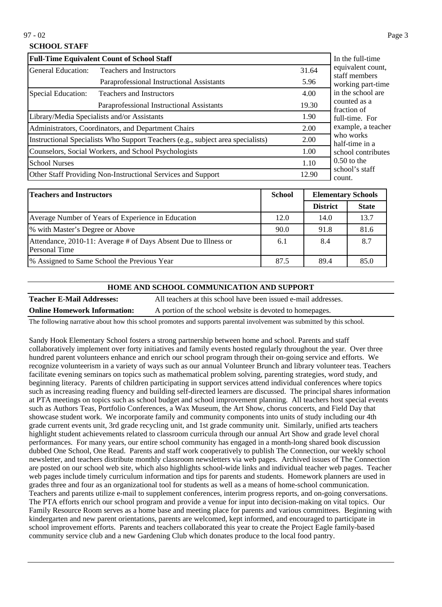## **SCHOOL STAFF**

| <b>Full-Time Equivalent Count of School Staff</b>   | In the full-time                                                                |       |                                    |
|-----------------------------------------------------|---------------------------------------------------------------------------------|-------|------------------------------------|
| General Education:<br>Teachers and Instructors      |                                                                                 | 31.64 | equivalent count,<br>staff members |
|                                                     | Paraprofessional Instructional Assistants                                       | 5.96  | working part-time                  |
| Special Education:                                  | <b>Teachers and Instructors</b>                                                 | 4.00  | in the school are                  |
|                                                     | Paraprofessional Instructional Assistants<br>19.30                              |       | counted as a<br>fraction of        |
|                                                     | Library/Media Specialists and/or Assistants                                     | 1.90  | full-time. For                     |
| Administrators, Coordinators, and Department Chairs |                                                                                 | 2.00  | example, a teacher                 |
|                                                     | Instructional Specialists Who Support Teachers (e.g., subject area specialists) | 2.00  | who works<br>half-time in a        |
|                                                     | Counselors, Social Workers, and School Psychologists                            | 1.00  | school contributes                 |
| <b>School Nurses</b>                                |                                                                                 | 1.10  | $0.50$ to the                      |
|                                                     | Other Staff Providing Non-Instructional Services and Support                    | 12.90 | school's staff<br>count.           |

| <b>Teachers and Instructors</b>                                                  | <b>School</b> | <b>Elementary Schools</b> |              |
|----------------------------------------------------------------------------------|---------------|---------------------------|--------------|
|                                                                                  |               | <b>District</b>           | <b>State</b> |
| Average Number of Years of Experience in Education                               | 12.0          | 14.0                      | 13.7         |
| % with Master's Degree or Above                                                  | 90.0          | 91.8                      | 81.6         |
| Attendance, 2010-11: Average # of Days Absent Due to Illness or<br>Personal Time | 6.1           | 8.4                       | 8.7          |
| 1% Assigned to Same School the Previous Year                                     | 87.5          | 89.4                      | 85.0         |

#### **HOME AND SCHOOL COMMUNICATION AND SUPPORT**

**Teacher E-Mail Addresses:** All teachers at this school have been issued e-mail addresses. **Online Homework Information:** A portion of the school website is devoted to homepages.

The following narrative about how this school promotes and supports parental involvement was submitted by this school.

Sandy Hook Elementary School fosters a strong partnership between home and school. Parents and staff collaboratively implement over forty initiatives and family events hosted regularly throughout the year. Over three hundred parent volunteers enhance and enrich our school program through their on-going service and efforts. We recognize volunteerism in a variety of ways such as our annual Volunteer Brunch and library volunteer teas. Teachers facilitate evening seminars on topics such as mathematical problem solving, parenting strategies, word study, and beginning literacy. Parents of children participating in support services attend individual conferences where topics such as increasing reading fluency and building self-directed learners are discussed. The principal shares information at PTA meetings on topics such as school budget and school improvement planning. All teachers host special events such as Authors Teas, Portfolio Conferences, a Wax Museum, the Art Show, chorus concerts, and Field Day that showcase student work. We incorporate family and community components into units of study including our 4th grade current events unit, 3rd grade recycling unit, and 1st grade community unit. Similarly, unified arts teachers highlight student achievements related to classroom curricula through our annual Art Show and grade level choral performances. For many years, our entire school community has engaged in a month-long shared book discussion dubbed One School, One Read. Parents and staff work cooperatively to publish The Connection, our weekly school newsletter, and teachers distribute monthly classroom newsletters via web pages. Archived issues of The Connection are posted on our school web site, which also highlights school-wide links and individual teacher web pages. Teacher web pages include timely curriculum information and tips for parents and students. Homework planners are used in grades three and four as an organizational tool for students as well as a means of home-school communication. Teachers and parents utilize e-mail to supplement conferences, interim progress reports, and on-going conversations. The PTA efforts enrich our school program and provide a venue for input into decision-making on vital topics. Our Family Resource Room serves as a home base and meeting place for parents and various committees. Beginning with kindergarten and new parent orientations, parents are welcomed, kept informed, and encouraged to participate in school improvement efforts. Parents and teachers collaborated this year to create the Project Eagle family-based community service club and a new Gardening Club which donates produce to the local food pantry.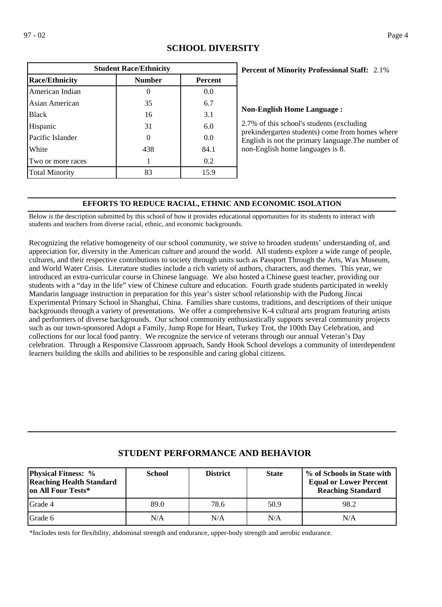| <b>Student Race/Ethnicity</b> |               |                |  |  |
|-------------------------------|---------------|----------------|--|--|
| <b>Race/Ethnicity</b>         | <b>Number</b> | <b>Percent</b> |  |  |
| American Indian               |               | 0.0            |  |  |
| Asian American                | 35            | 6.7            |  |  |
| <b>Black</b>                  | 16            | 3.1            |  |  |
| Hispanic                      | 31            | 6.0            |  |  |
| Pacific Islander              |               | 0.0            |  |  |
| White                         | 438           | 84.1           |  |  |
| Two or more races             |               | 0.2            |  |  |
| <b>Total Minority</b>         | 83            | 15.9           |  |  |

## **SCHOOL DIVERSITY**

### 2.1% **Percent of Minority Professional Staff:**

#### **Non-English Home Language :**

2.7% of this school's students (excluding prekindergarten students) come from homes where English is not the primary language.The number of non-English home languages is 8.

## **EFFORTS TO REDUCE RACIAL, ETHNIC AND ECONOMIC ISOLATION**

Below is the description submitted by this school of how it provides educational opportunities for its students to interact with students and teachers from diverse racial, ethnic, and economic backgrounds.

Recognizing the relative homogeneity of our school community, we strive to broaden students' understanding of, and appreciation for, diversity in the American culture and around the world. All students explore a wide range of people, cultures, and their respective contributions to society through units such as Passport Through the Arts, Wax Museum, and World Water Crisis. Literature studies include a rich variety of authors, characters, and themes. This year, we introduced an extra-curricular course in Chinese language. We also hosted a Chinese guest teacher, providing our students with a "day in the life" view of Chinese culture and education. Fourth grade students participated in weekly Mandarin language instruction in preparation for this year's sister school relationship with the Pudong Jincai Experimental Primary School in Shanghai, China. Families share customs, traditions, and descriptions of their unique backgrounds through a variety of presentations. We offer a comprehensive K-4 cultural arts program featuring artists and performers of diverse backgrounds. Our school community enthusiastically supports several community projects such as our town-sponsored Adopt a Family, Jump Rope for Heart, Turkey Trot, the 100th Day Celebration, and collections for our local food pantry. We recognize the service of veterans through our annual Veteran's Day celebration. Through a Responsive Classroom approach, Sandy Hook School develops a community of interdependent learners building the skills and abilities to be responsible and caring global citizens.

# **STUDENT PERFORMANCE AND BEHAVIOR**

| <b>Physical Fitness:</b> %<br><b>Reaching Health Standard</b><br>lon All Four Tests* | <b>School</b> | <b>District</b> | <b>State</b> | % of Schools in State with<br><b>Equal or Lower Percent</b><br><b>Reaching Standard</b> |
|--------------------------------------------------------------------------------------|---------------|-----------------|--------------|-----------------------------------------------------------------------------------------|
| Grade 4                                                                              | 89.0          | 78.6            | 50.9         | 98.2                                                                                    |
| <b>IGrade 6</b>                                                                      | N/A           | N/A             | N/A          | N/A                                                                                     |

\*Includes tests for flexibility, abdominal strength and endurance, upper-body strength and aerobic endurance.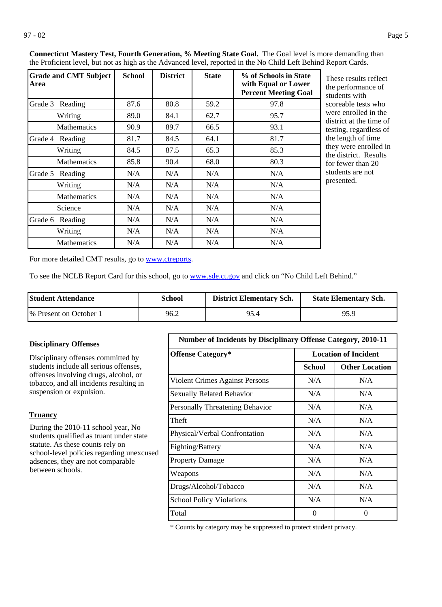| <b>Grade and CMT Subject</b><br>Area | <b>School</b> | <b>District</b> | <b>State</b> | % of Schools in State<br>with Equal or Lower<br><b>Percent Meeting Goal</b> |
|--------------------------------------|---------------|-----------------|--------------|-----------------------------------------------------------------------------|
| Grade 3 Reading                      | 87.6          | 80.8            | 59.2         | 97.8                                                                        |
| Writing                              | 89.0          | 84.1            | 62.7         | 95.7                                                                        |
| <b>Mathematics</b>                   | 90.9          | 89.7            | 66.5         | 93.1                                                                        |
| Grade 4<br>Reading                   | 81.7          | 84.5            | 64.1         | 81.7                                                                        |
| Writing                              | 84.5          | 87.5            | 65.3         | 85.3                                                                        |
| <b>Mathematics</b>                   | 85.8          | 90.4            | 68.0         | 80.3                                                                        |
| Grade 5<br>Reading                   | N/A           | N/A             | N/A          | N/A                                                                         |
| Writing                              | N/A           | N/A             | N/A          | N/A                                                                         |
| <b>Mathematics</b>                   | N/A           | N/A             | N/A          | N/A                                                                         |
| Science                              | N/A           | N/A             | N/A          | N/A                                                                         |
| Grade 6<br>Reading                   | N/A           | N/A             | N/A          | N/A                                                                         |
| Writing                              | N/A           | N/A             | N/A          | N/A                                                                         |
| <b>Mathematics</b>                   | N/A           | N/A             | N/A          | N/A                                                                         |

**Connecticut Mastery Test, Fourth Generation, % Meeting State Goal.** The Goal level is more demanding than the Proficient level, but not as high as the Advanced level, reported in the No Child Left Behind Report Cards.

> These results reflect he performance of tudents with coreable tests who were enrolled in the district at the time of esting, regardless of he length of time hey were enrolled in he district. Results or fewer than 20 tudents are not presented.

For more detailed CMT results, go to **[www.ctreports](http://www.ctreports/)**.

To see the NCLB Report Card for this school, go to [www.sde.ct.gov](http://www.sde.ct.gov/) and click on "No Child Left Behind."

| <b>Student Attendance</b> | School | <b>District Elementary Sch.</b> | <b>State Elementary Sch.</b> |
|---------------------------|--------|---------------------------------|------------------------------|
| 1\% Present on October 1  | 96.2   | 95.4                            | 95.9                         |

#### **Disciplinary Offenses**

Disciplinary offenses committed by students include all serious offenses, offenses involving drugs, alcohol, or tobacco, and all incidents resulting in suspension or expulsion.

#### **Truancy**

During the 2010-11 school year, No students qualified as truant under state statute. As these counts rely on school-level policies regarding unexcused adsences, they are not comparable between schools.

| <b>Number of Incidents by Disciplinary Offense Category, 2010-11</b> |                             |                       |  |  |
|----------------------------------------------------------------------|-----------------------------|-----------------------|--|--|
| <b>Offense Category*</b>                                             | <b>Location of Incident</b> |                       |  |  |
|                                                                      | School                      | <b>Other Location</b> |  |  |
| Violent Crimes Against Persons                                       | N/A                         | N/A                   |  |  |
| <b>Sexually Related Behavior</b>                                     | N/A                         | N/A                   |  |  |
| Personally Threatening Behavior                                      | N/A                         | N/A                   |  |  |
| Theft                                                                | N/A                         | N/A                   |  |  |
| Physical/Verbal Confrontation                                        | N/A                         | N/A                   |  |  |
| Fighting/Battery                                                     | N/A                         | N/A                   |  |  |
| <b>Property Damage</b>                                               | N/A                         | N/A                   |  |  |
| Weapons                                                              | N/A                         | N/A                   |  |  |
| Drugs/Alcohol/Tobacco                                                | N/A                         | N/A                   |  |  |
| <b>School Policy Violations</b>                                      | N/A                         | N/A                   |  |  |
| Total                                                                | 0                           | 0                     |  |  |

\* Counts by category may be suppressed to protect student privacy.